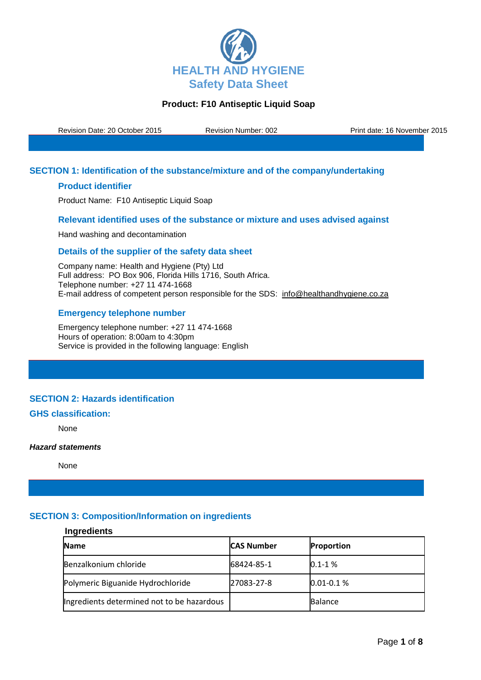

Revision Date: 20 October 2015 Revision Number: 002 Print date: 16 November 2015

# **SECTION 1: Identification of the substance/mixture and of the company/undertaking**

### **Product identifier**

Product Name: F10 Antiseptic Liquid Soap

### **Relevant identified uses of the substance or mixture and uses advised against**

Hand washing and decontamination

### **Details of the supplier of the safety data sheet**

Company name: Health and Hygiene (Pty) Ltd Full address: PO Box 906, Florida Hills 1716, South Africa. Telephone number: +27 11 474-1668 E-mail address of competent person responsible for the SDS: info@healthandhygiene.co.za

### **Emergency telephone number**

Emergency telephone number: +27 11 474-1668 Hours of operation: 8:00am to 4:30pm Service is provided in the following language: English

### **SECTION 2: Hazards identification**

## **GHS classification:**

None

#### *Hazard statements*

None

# **SECTION 3: Composition/Information on ingredients**

## **Ingredients**

| <b>Name</b>                                | <b>CAS Number</b> | <b>Proportion</b> |
|--------------------------------------------|-------------------|-------------------|
| Benzalkonium chloride                      | 68424-85-1        | $0.1 - 1 %$       |
| Polymeric Biguanide Hydrochloride          | 27083-27-8        | $0.01 - 0.1 %$    |
| Ingredients determined not to be hazardous |                   | <b>Balance</b>    |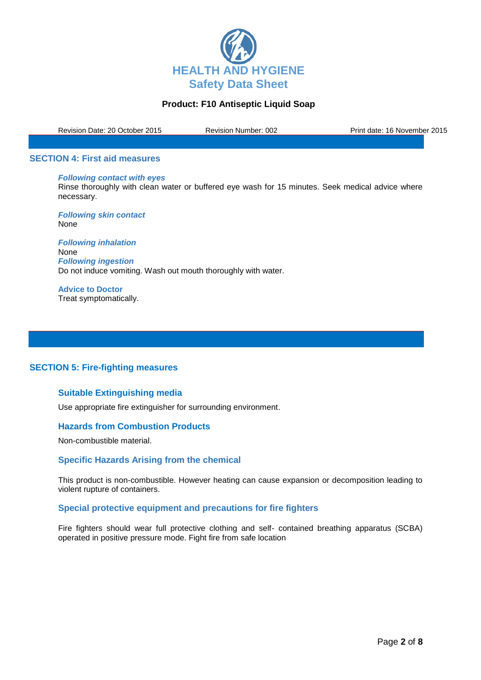

Revision Date: 20 October 2015 Revision Number: 002 Print date: 16 November 2015

#### **SECTION 4: First aid measures**

#### *Following contact with eyes*

Rinse thoroughly with clean water or buffered eye wash for 15 minutes. Seek medical advice where necessary.

*Following skin contact* None

*Following inhalation* None *Following ingestion* Do not induce vomiting. Wash out mouth thoroughly with water.

**Advice to Doctor** Treat symptomatically.

# **SECTION 5: Fire-fighting measures**

#### **Suitable Extinguishing media**

Use appropriate fire extinguisher for surrounding environment.

#### **Hazards from Combustion Products**

Non-combustible material.

#### **Specific Hazards Arising from the chemical**

This product is non-combustible. However heating can cause expansion or decomposition leading to violent rupture of containers.

#### **Special protective equipment and precautions for fire fighters**

Fire fighters should wear full protective clothing and self- contained breathing apparatus (SCBA) operated in positive pressure mode. Fight fire from safe location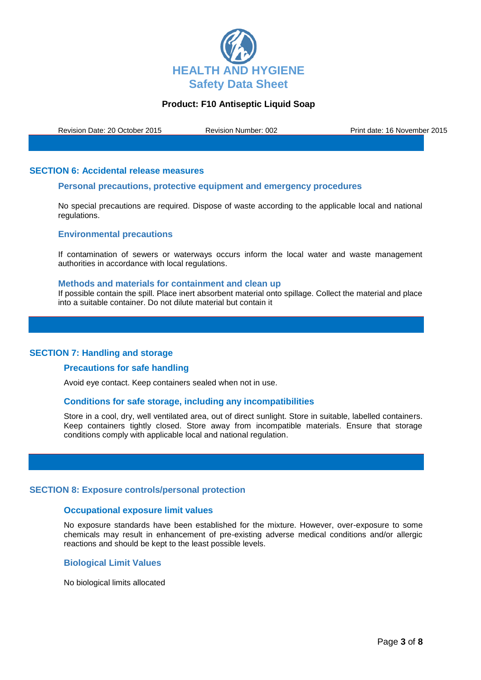

Revision Date: 20 October 2015 Revision Number: 002 Print date: 16 November 2015

#### **SECTION 6: Accidental release measures**

#### **Personal precautions, protective equipment and emergency procedures**

No special precautions are required. Dispose of waste according to the applicable local and national regulations.

#### **Environmental precautions**

If contamination of sewers or waterways occurs inform the local water and waste management authorities in accordance with local regulations.

#### **Methods and materials for containment and clean up**

If possible contain the spill. Place inert absorbent material onto spillage. Collect the material and place into a suitable container. Do not dilute material but contain it

#### **SECTION 7: Handling and storage**

#### **Precautions for safe handling**

Avoid eye contact. Keep containers sealed when not in use.

#### **Conditions for safe storage, including any incompatibilities**

Store in a cool, dry, well ventilated area, out of direct sunlight. Store in suitable, labelled containers. Keep containers tightly closed. Store away from incompatible materials. Ensure that storage conditions comply with applicable local and national regulation.

#### **SECTION 8: Exposure controls/personal protection**

#### **Occupational exposure limit values**

No exposure standards have been established for the mixture. However, over-exposure to some chemicals may result in enhancement of pre-existing adverse medical conditions and/or allergic reactions and should be kept to the least possible levels.

#### **Biological Limit Values**

No biological limits allocated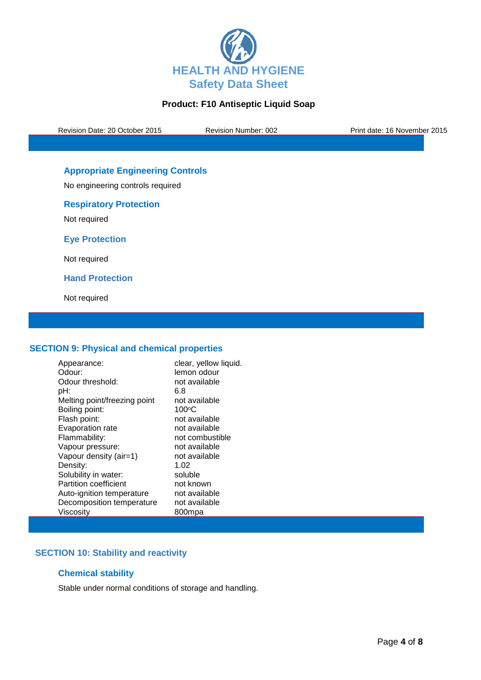

Revision Date: 20 October 2015 Revision Number: 002 Print date: 16 November 2015

# **Appropriate Engineering Controls**

No engineering controls required

# **Respiratory Protection**

Not required

**Eye Protection**

Not required

**Hand Protection**

Not required

### **SECTION 9: Physical and chemical properties**

| Appearance:                  | clear, yellow liquid. |
|------------------------------|-----------------------|
| Odour:                       | lemon odour           |
| Odour threshold:             | not available         |
| pH:                          | 6.8                   |
| Melting point/freezing point | not available         |
| Boiling point:               | $100^{\circ}$ C       |
| Flash point:                 | not available         |
| Evaporation rate             | not available         |
| Flammability:                | not combustible       |
| Vapour pressure:             | not available         |
| Vapour density (air=1)       | not available         |
| Density:                     | 1.02                  |
| Solubility in water:         | soluble               |
| <b>Partition coefficient</b> | not known             |
| Auto-ignition temperature    | not available         |
| Decomposition temperature    | not available         |
| Viscositv                    | 800mpa                |

# **SECTION 10: Stability and reactivity**

# **Chemical stability**

Stable under normal conditions of storage and handling.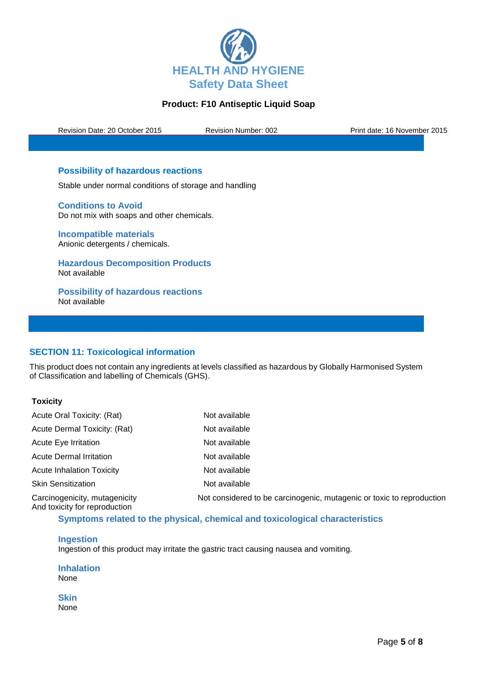

Revision Date: 20 October 2015 Revision Number: 002 Print date: 16 November 2015

# **Possibility of hazardous reactions**

Stable under normal conditions of storage and handling

**Conditions to Avoid** Do not mix with soaps and other chemicals.

**Incompatible materials** Anionic detergents / chemicals.

**Hazardous Decomposition Products** Not available

**Possibility of hazardous reactions** Not available

# **SECTION 11: Toxicological information**

This product does not contain any ingredients at levels classified as hazardous by Globally Harmonised System of Classification and labelling of Chemicals (GHS).

# **Toxicity**

| Acute Oral Toxicity: (Rat)                                     | Not available                                                         |
|----------------------------------------------------------------|-----------------------------------------------------------------------|
| Acute Dermal Toxicity: (Rat)                                   | Not available                                                         |
| Acute Eye Irritation                                           | Not available                                                         |
| Acute Dermal Irritation                                        | Not available                                                         |
| <b>Acute Inhalation Toxicity</b>                               | Not available                                                         |
| <b>Skin Sensitization</b>                                      | Not available                                                         |
| Carcinogenicity, mutagenicity<br>And toxicity for reproduction | Not considered to be carcinogenic, mutagenic or toxic to reproduction |

### **Symptoms related to the physical, chemical and toxicological characteristics**

#### **Ingestion**

Ingestion of this product may irritate the gastric tract causing nausea and vomiting.

**Inhalation** None

**Skin** None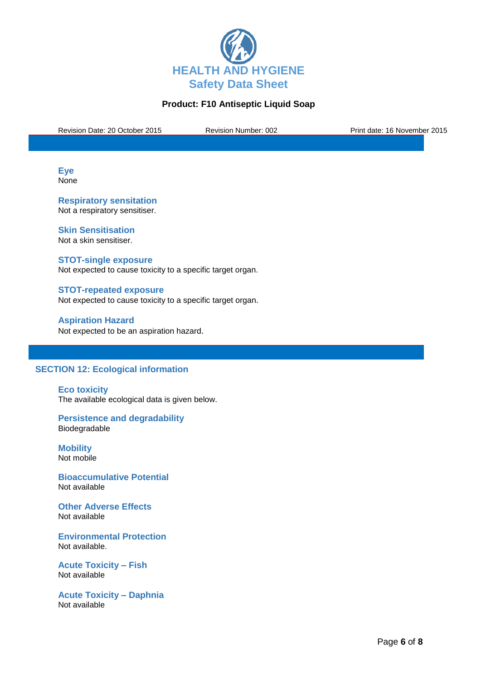

Revision Date: 20 October 2015 Revision Number: 002 Print date: 16 November 2015

**Eye None** 

**Respiratory sensitation** Not a respiratory sensitiser.

**Skin Sensitisation** Not a skin sensitiser.

**STOT-single exposure** Not expected to cause toxicity to a specific target organ.

**STOT-repeated exposure** Not expected to cause toxicity to a specific target organ.

**Aspiration Hazard** Not expected to be an aspiration hazard.

### **SECTION 12: Ecological information**

**Eco toxicity** The available ecological data is given below.

**Persistence and degradability** Biodegradable

**Mobility** Not mobile

**Bioaccumulative Potential** Not available

**Other Adverse Effects** Not available

**Environmental Protection** Not available.

**Acute Toxicity – Fish** Not available

**Acute Toxicity – Daphnia** Not available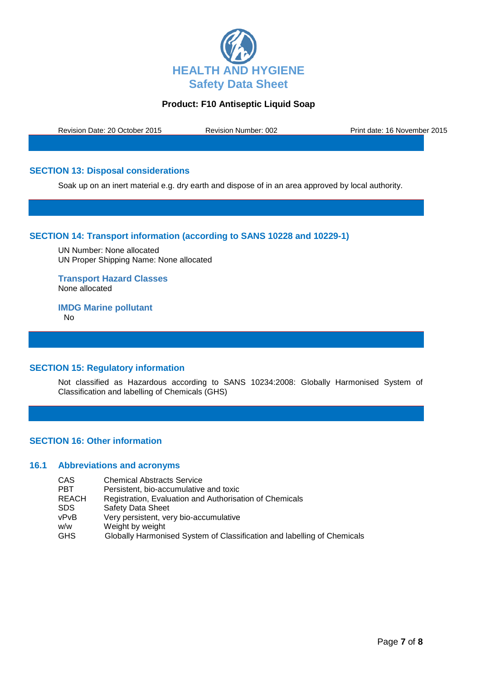

Revision Date: 20 October 2015 Revision Number: 002 Print date: 16 November 2015

# **SECTION 13: Disposal considerations**

Soak up on an inert material e.g. dry earth and dispose of in an area approved by local authority.

### **SECTION 14: Transport information (according to SANS 10228 and 10229-1)**

UN Number: None allocated UN Proper Shipping Name: None allocated

**Transport Hazard Classes** None allocated

**IMDG Marine pollutant** No

# **SECTION 15: Regulatory information**

Not classified as Hazardous according to SANS 10234:2008: Globally Harmonised System of Classification and labelling of Chemicals (GHS)

### **SECTION 16: Other information**

### **16.1 Abbreviations and acronyms**

| CAS   | <b>Chemical Abstracts Service</b>                                       |
|-------|-------------------------------------------------------------------------|
| PBT   | Persistent, bio-accumulative and toxic                                  |
| REACH | Registration, Evaluation and Authorisation of Chemicals                 |
| SDS   | Safety Data Sheet                                                       |
| vPvB  | Very persistent, very bio-accumulative                                  |
| w/w   | Weight by weight                                                        |
| GHS   | Globally Harmonised System of Classification and labelling of Chemicals |